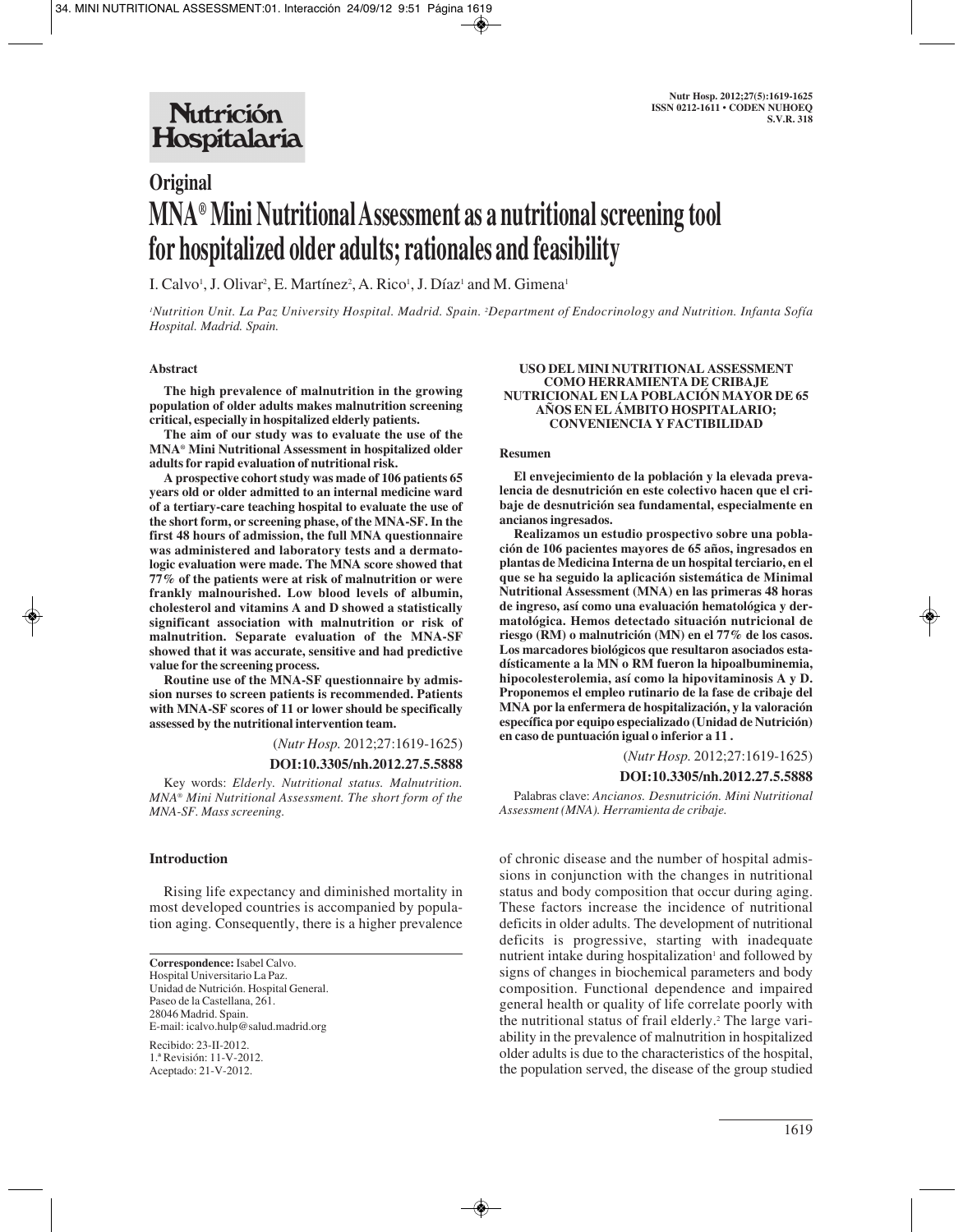# **Original MNA® Mini Nutritional Assessment as a nutritional screening tool for hospitalized older adults; rationales and feasibility**

I. Calvo<sup>1</sup>, J. Olivar<sup>2</sup>, E. Martínez<sup>2</sup>, A. Rico<sup>1</sup>, J. Díaz<sup>1</sup> and M. Gimena<sup>1</sup>

*1 Nutrition Unit. La Paz University Hospital. Madrid. Spain. 2 Department of Endocrinology and Nutrition. Infanta Sofía Hospital. Madrid. Spain.*

## **Abstract**

**The high prevalence of malnutrition in the growing population of older adults makes malnutrition screening critical, especially in hospitalized elderly patients.**

**The aim of our study was to evaluate the use of the MNA® Mini Nutritional Assessment in hospitalized older adults for rapid evaluation of nutritional risk.** 

**A prospective cohort study was made of 106 patients 65 years old or older admitted to an internal medicine ward of a tertiary-care teaching hospital to evaluate the use of the short form, or screening phase, of the MNA-SF. In the first 48 hours of admission, the full MNA questionnaire was administered and laboratory tests and a dermatologic evaluation were made. The MNA score showed that 77% of the patients were at risk of malnutrition or were frankly malnourished. Low blood levels of albumin, cholesterol and vitamins A and D showed a statistically significant association with malnutrition or risk of malnutrition. Separate evaluation of the MNA-SF showed that it was accurate, sensitive and had predictive value for the screening process.** 

**Routine use of the MNA-SF questionnaire by admission nurses to screen patients is recommended. Patients with MNA-SF scores of 11 or lower should be specifically assessed by the nutritional intervention team.**

(*Nutr Hosp.* 2012;27:1619-1625)

#### **DOI:10.3305/nh.2012.27.5.5888**

Key words: *Elderly. Nutritional status. Malnutrition. MNA® Mini Nutritional Assessment. The short form of the MNA-SF. Mass screening.*

## **Introduction**

Rising life expectancy and diminished mortality in most developed countries is accompanied by population aging. Consequently, there is a higher prevalence

**Correspondence:** Isabel Calvo. Hospital Universitario La Paz. Unidad de Nutrición. Hospital General. Paseo de la Castellana, 261. 28046 Madrid. Spain. E-mail: icalvo.hulp@salud.madrid.org

Recibido: 23-II-2012. 1.ª Revisión: 11-V-2012. Aceptado: 21-V-2012.

### **USO DEL MINI NUTRITIONAL ASSESSMENT COMO HERRAMIENTA DE CRIBAJE NUTRICIONAL EN LA POBLACIÓN MAYOR DE 65 AÑOS EN EL ÁMBITO HOSPITALARIO; CONVENIENCIA Y FACTIBILIDAD**

#### **Resumen**

**El envejecimiento de la población y la elevada prevalencia de desnutrición en este colectivo hacen que el cribaje de desnutrición sea fundamental, especialmente en ancianos ingresados.**

**Realizamos un estudio prospectivo sobre una población de 106 pacientes mayores de 65 años, ingresados en plantas de Medicina Interna de un hospital terciario, en el que se ha seguido la aplicación sistemática de Minimal Nutritional Assessment (MNA) en las primeras 48 horas de ingreso, así como una evaluación hematológica y dermatológica. Hemos detectado situación nutricional de riesgo (RM) o malnutrición (MN) en el 77% de los casos. Los marcadores biológicos que resultaron asociados estadísticamente a la MN o RM fueron la hipoalbuminemia, hipocolesterolemia, así como la hipovitaminosis A y D. Proponemos el empleo rutinario de la fase de cribaje del MNA por la enfermera de hospitalización, y la valoración específica por equipo especializado (Unidad de Nutrición) en caso de puntuación igual o inferior a 11 .**

(*Nutr Hosp.* 2012;27:1619-1625)

## **DOI:10.3305/nh.2012.27.5.5888**

Palabras clave: *Ancianos. Desnutrición. Mini Nutritional Assessment (MNA). Herramienta de cribaje.*

of chronic disease and the number of hospital admissions in conjunction with the changes in nutritional status and body composition that occur during aging. These factors increase the incidence of nutritional deficits in older adults. The development of nutritional deficits is progressive, starting with inadequate nutrient intake during hospitalization<sup>1</sup> and followed by signs of changes in biochemical parameters and body composition. Functional dependence and impaired general health or quality of life correlate poorly with the nutritional status of frail elderly.<sup>2</sup> The large variability in the prevalence of malnutrition in hospitalized older adults is due to the characteristics of the hospital, the population served, the disease of the group studied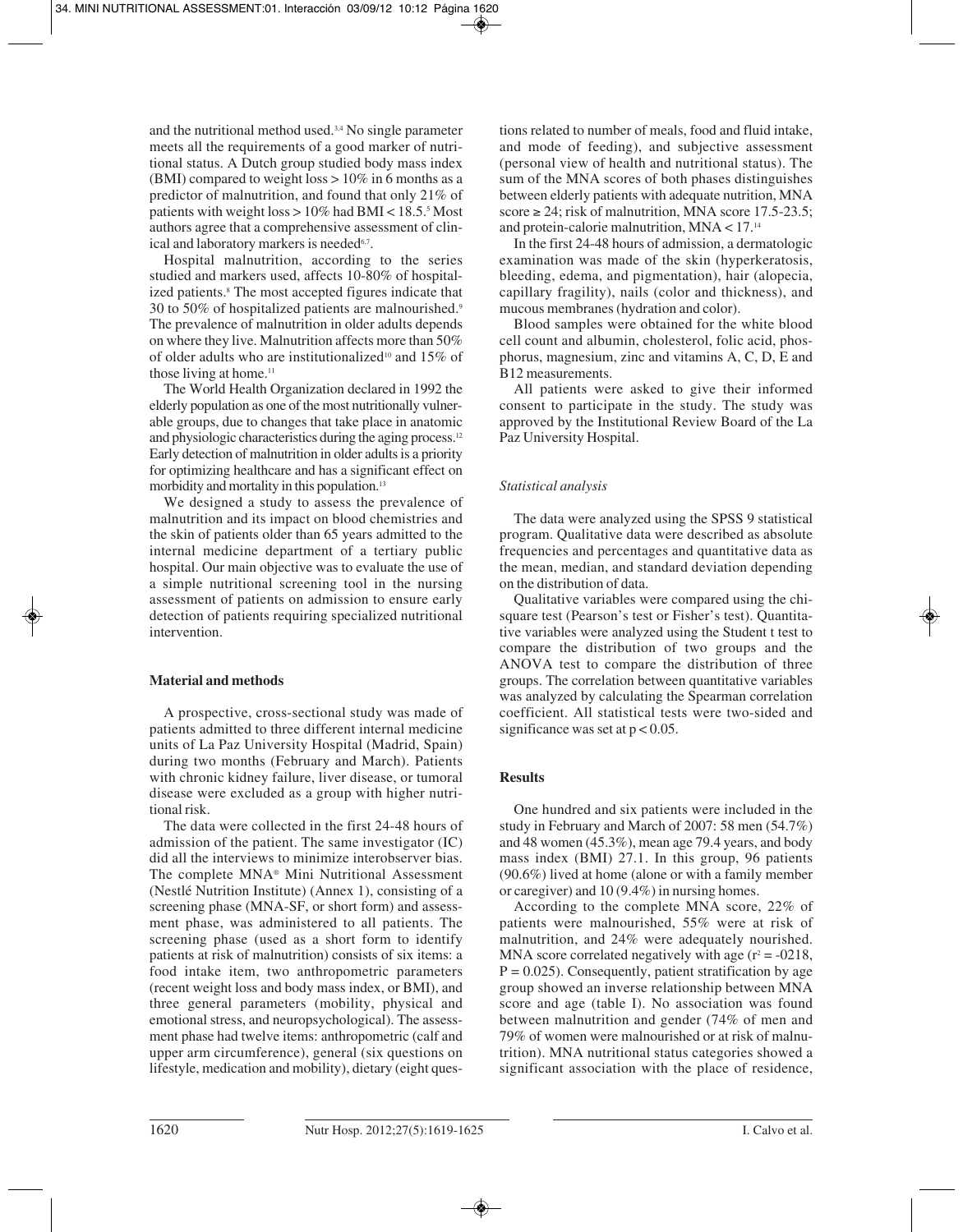and the nutritional method used.3,4 No single parameter meets all the requirements of a good marker of nutritional status. A Dutch group studied body mass index (BMI) compared to weight loss  $> 10\%$  in 6 months as a predictor of malnutrition, and found that only 21% of patients with weight loss  $> 10\%$  had BMI < 18.5.5 Most authors agree that a comprehensive assessment of clinical and laboratory markers is needed<sup>6,7</sup>.

Hospital malnutrition, according to the series studied and markers used, affects 10-80% of hospitalized patients.<sup>8</sup> The most accepted figures indicate that 30 to 50% of hospitalized patients are malnourished.9 The prevalence of malnutrition in older adults depends on where they live. Malnutrition affects more than 50% of older adults who are institutionalized<sup>10</sup> and  $15\%$  of those living at home.11

The World Health Organization declared in 1992 the elderly population as one of the most nutritionally vulnerable groups, due to changes that take place in anatomic and physiologic characteristics during the aging process.12 Early detection of malnutrition in older adults is a priority for optimizing healthcare and has a significant effect on morbidity and mortality in this population.<sup>13</sup>

We designed a study to assess the prevalence of malnutrition and its impact on blood chemistries and the skin of patients older than 65 years admitted to the internal medicine department of a tertiary public hospital. Our main objective was to evaluate the use of a simple nutritional screening tool in the nursing assessment of patients on admission to ensure early detection of patients requiring specialized nutritional intervention.

## **Material and methods**

A prospective, cross-sectional study was made of patients admitted to three different internal medicine units of La Paz University Hospital (Madrid, Spain) during two months (February and March). Patients with chronic kidney failure, liver disease, or tumoral disease were excluded as a group with higher nutritional risk.

The data were collected in the first 24-48 hours of admission of the patient. The same investigator (IC) did all the interviews to minimize interobserver bias. The complete MNA® Mini Nutritional Assessment (Nestlé Nutrition Institute) (Annex 1), consisting of a screening phase (MNA-SF, or short form) and assessment phase, was administered to all patients. The screening phase (used as a short form to identify patients at risk of malnutrition) consists of six items: a food intake item, two anthropometric parameters (recent weight loss and body mass index, or BMI), and three general parameters (mobility, physical and emotional stress, and neuropsychological). The assessment phase had twelve items: anthropometric (calf and upper arm circumference), general (six questions on lifestyle, medication and mobility), dietary (eight questions related to number of meals, food and fluid intake, and mode of feeding), and subjective assessment (personal view of health and nutritional status). The sum of the MNA scores of both phases distinguishes between elderly patients with adequate nutrition, MNA score  $\geq$  24; risk of malnutrition, MNA score 17.5-23.5; and protein-calorie malnutrition,  $MNA < 17.^{14}$ 

In the first 24-48 hours of admission, a dermatologic examination was made of the skin (hyperkeratosis, bleeding, edema, and pigmentation), hair (alopecia, capillary fragility), nails (color and thickness), and mucous membranes (hydration and color).

Blood samples were obtained for the white blood cell count and albumin, cholesterol, folic acid, phosphorus, magnesium, zinc and vitamins A, C, D, E and B12 measurements.

All patients were asked to give their informed consent to participate in the study. The study was approved by the Institutional Review Board of the La Paz University Hospital.

# *Statistical analysis*

The data were analyzed using the SPSS 9 statistical program. Qualitative data were described as absolute frequencies and percentages and quantitative data as the mean, median, and standard deviation depending on the distribution of data.

Qualitative variables were compared using the chisquare test (Pearson's test or Fisher's test). Quantitative variables were analyzed using the Student t test to compare the distribution of two groups and the ANOVA test to compare the distribution of three groups. The correlation between quantitative variables was analyzed by calculating the Spearman correlation coefficient. All statistical tests were two-sided and significance was set at  $p < 0.05$ .

## **Results**

One hundred and six patients were included in the study in February and March of 2007: 58 men (54.7%) and 48 women (45.3%), mean age 79.4 years, and body mass index (BMI) 27.1. In this group, 96 patients (90.6%) lived at home (alone or with a family member or caregiver) and 10 (9.4%) in nursing homes.

According to the complete MNA score, 22% of patients were malnourished, 55% were at risk of malnutrition, and 24% were adequately nourished. MNA score correlated negatively with age  $(r^2 = -0.0218)$ ,  $P = 0.025$ ). Consequently, patient stratification by age group showed an inverse relationship between MNA score and age (table I). No association was found between malnutrition and gender (74% of men and 79% of women were malnourished or at risk of malnutrition). MNA nutritional status categories showed a significant association with the place of residence,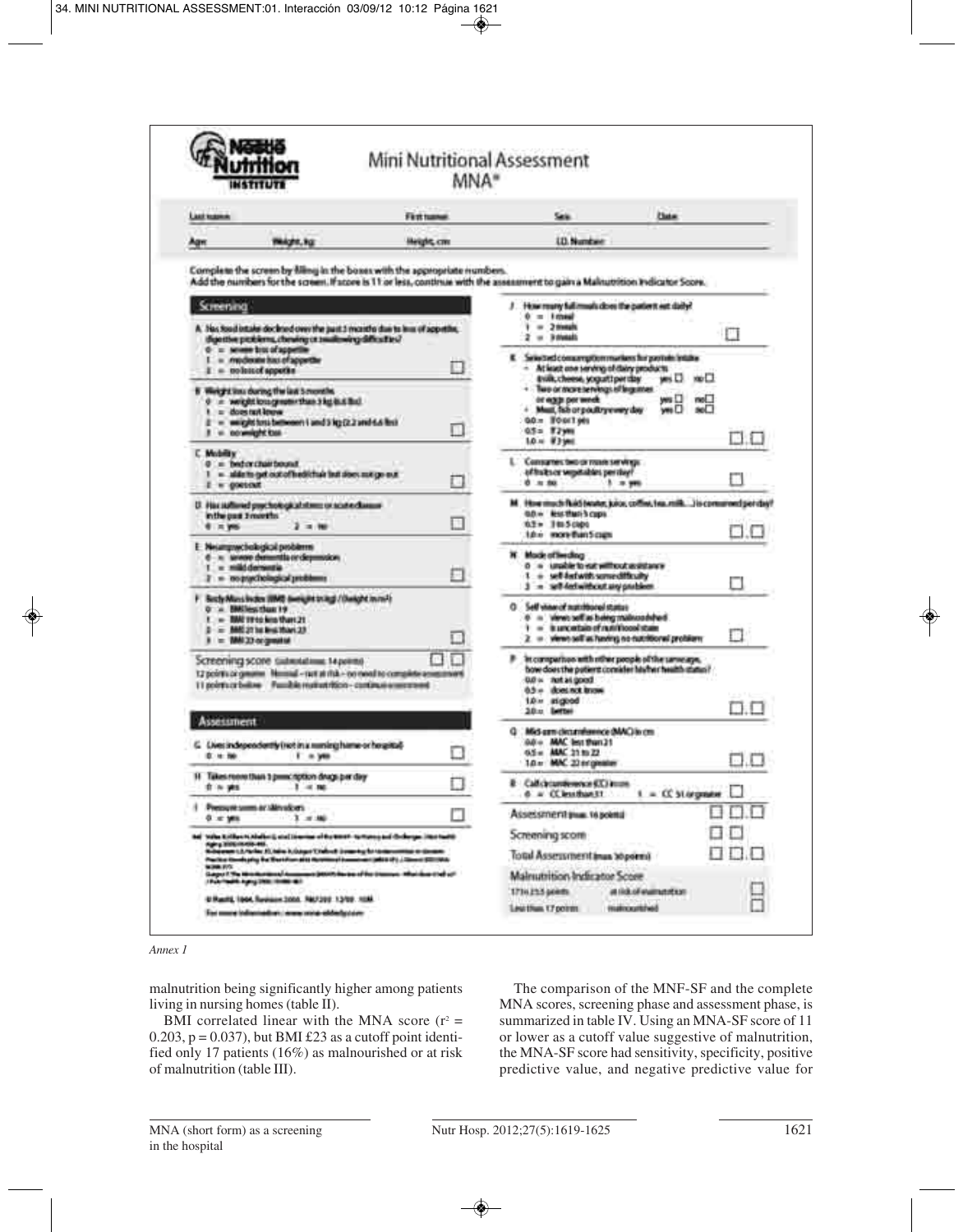|                                                                                                                                                                                                                                                                                                                                                                                                                                                      | MNA*                 | Mini Nutritional Assessment                                                                                                                                                            |                                                                        |     |
|------------------------------------------------------------------------------------------------------------------------------------------------------------------------------------------------------------------------------------------------------------------------------------------------------------------------------------------------------------------------------------------------------------------------------------------------------|----------------------|----------------------------------------------------------------------------------------------------------------------------------------------------------------------------------------|------------------------------------------------------------------------|-----|
| Listhaann                                                                                                                                                                                                                                                                                                                                                                                                                                            | First tuesel         | Sale.                                                                                                                                                                                  | <b>Clute:</b>                                                          |     |
| TRADIT, FOR<br>Agn                                                                                                                                                                                                                                                                                                                                                                                                                                   | <b>Height</b> , cree | <b>LD. Number</b>                                                                                                                                                                      |                                                                        |     |
| Complete the screen by filling in the boxes with the appropriate numbers.<br>Add the numbers for the screen. If score is 11 or less, continue with the assessment to gain a Makuzotion Indicator Score.                                                                                                                                                                                                                                              |                      |                                                                                                                                                                                        |                                                                        |     |
| Screening                                                                                                                                                                                                                                                                                                                                                                                                                                            |                      | / How roury full music close the patient est daily?                                                                                                                                    |                                                                        |     |
| A. No. Soul intake dockned over the past 3 months due to less of appetite,<br>digestive picklems, chewing or awaitowing difficulties?                                                                                                                                                                                                                                                                                                                |                      | $0 = 10000$<br>$-2$ trengts<br>٠<br>$2 - 3$ streets                                                                                                                                    | П                                                                      |     |
| 0 = severe bits of appetite<br>I = moderate has of appetite<br>$1 =$ to letted appeting                                                                                                                                                                                                                                                                                                                                                              | u.                   | E Selected comproprimarians hi postein intake<br>- At least one serving of dairy products                                                                                              |                                                                        |     |
| 8 Weight in a during the last 5 months.<br>0 = weightloughed=than3kg&&Bid.<br>$1 = 4000$ tart appear<br>E = weighttesibeneen i und i kg (2.2 und 4.6 lbs)<br>I = coweight tax                                                                                                                                                                                                                                                                        | п                    | trim, cheese, yoguittperday.<br>. Two or more be reings of largement<br>or eggs per week<br>+ Must, fish or poultry every day<br>00 = T00/1989<br>05= W79H                             | yesD mu⊡<br>yes []<br>moL.<br>weD<br>SO <sub>2</sub>                   |     |
| <b>C. Modelity</b><br>$0 = 0$ indication bound.<br>1 = alde to get out of hed/chair list stock mit ge eut.<br>$I = 000100$                                                                                                                                                                                                                                                                                                                           | o                    | 1.0 xi #3 year<br>Comparters fault or maste servings.<br>of fraksen wepstables per ring?<br>0 = 80                                                                                     | 5 - 2 996                                                              | BIL |
| D. Plac stationed psychological stress or sculve classes<br>in the past 3 months.<br><b>6 x yes</b><br>$2 - 100$                                                                                                                                                                                                                                                                                                                                     | в                    | GO - RICHARD COPE<br>0.2 = 1 to 5 clubs<br><b>1.0 o more Bun Scram</b>                                                                                                                 | M. How much faith (water, juice, coffee, fea.milk) is commend per day? |     |
| E. Neumprochological problems<br>6 - n www.demotiverdemotion<br>1 = milddemmin<br>I = oceanochological problems                                                                                                                                                                                                                                                                                                                                      | ы                    | N Mode of liveding<br>0 = underto not will not and taxes<br>1 = self-fectwith some difficulty<br>3 = self-feel without any president                                                   |                                                                        |     |
| F Bechnikes index IBMD dweight trag) / Dwight in reft<br>0 = BMiles than 19<br>1 - BM 1940 kits that 21<br>2 = MAS 27 ha ling Muss 23<br>I = MAI 33 or greated                                                                                                                                                                                                                                                                                       |                      | O Self vision of matchborol status<br>0 in Venet self as being maincromined<br>1 = kurcetain of run those state<br>2. = views sell as having no cutritional problem                    | . .                                                                    |     |
| Эстеститер эсопе сывимании: 14 рокин)<br>12 points or greater. Necessal - rest at risk - no meet to complete assessment<br>11 points or ballow Familia materials from - continue a secretary                                                                                                                                                                                                                                                         | e n                  | F In comparison with other people of the same ape.<br>how does the pottern consider law in mealth status?<br>D.O is not as good.<br>0.5 - doesnot know<br>1.0 m stigped<br>20 u Letter |                                                                        | D.O |
| <b>Assessment</b><br>G. Lives independently (richin a numing hame or hospital)<br>0 to 80<br><b>F</b> = yes                                                                                                                                                                                                                                                                                                                                          |                      | Q Mid-ann-clicturalenvice (MAC) in cm<br>0.0 - MAC lest than 21<br>6.5 = MAC 21 to 22<br>1.0 x MK 23 engineers                                                                         |                                                                        | 8.O |
| 11 Takes record than 3 prescription drugs per day<br>0 % WS<br>1 - 4 TM                                                                                                                                                                                                                                                                                                                                                                              | IJ                   | R Callchcamberson S.C. House<br>6 a CC less than 11                                                                                                                                    | $1 = C$ Stepner                                                        |     |
| 1 Pressure some or Minutcuts<br>0 x yrs<br>3 # 80                                                                                                                                                                                                                                                                                                                                                                                                    |                      | Assessment true, to some                                                                                                                                                               |                                                                        |     |
| be) Value Kollbucht, Abelford, and Dieseries of the WANT- Nations ; and Chillergen (Not hard)<br>ngay 2006 metatra.<br>Nobel est tahun 1974 metatra di Sangai Tahun 2 januari yang kerasaan metatra di sistema.<br>Pacifical Emergency that the Editor and Editor Harmonical Executives (1982) 2 (Clinton) \$2011993.<br><b>WORK FITS</b><br>Guigez II Was Minn<br>a jezich ku sa ci ka transva. Machae thei ci i<br>(Februard Agos) 2000 (6000) 407 |                      | Screening score<br>Total Assertsment Imax Soporni<br>Malnutrition Indicator Score                                                                                                      |                                                                        |     |
| U Racitá, 1944, Ravisson 2000. RM/2012 1.3/09. 1038.<br>For more information: I was mine-abbeligation:                                                                                                                                                                                                                                                                                                                                               |                      | 1714255 (4088)<br>Leathan 17 points                                                                                                                                                    | at tick of elating to a<br><b>Highlocartifield</b>                     |     |

*Annex 1*

malnutrition being significantly higher among patients living in nursing homes (table II).

BMI correlated linear with the MNA score ( $r^2$  = 0.203,  $p = 0.037$ , but BMI £23 as a cutoff point identified only 17 patients (16%) as malnourished or at risk of malnutrition (table III).

The comparison of the MNF-SF and the complete MNA scores, screening phase and assessment phase, is summarized in table IV. Using an MNA-SF score of 11 or lower as a cutoff value suggestive of malnutrition, the MNA-SF score had sensitivity, specificity, positive predictive value, and negative predictive value for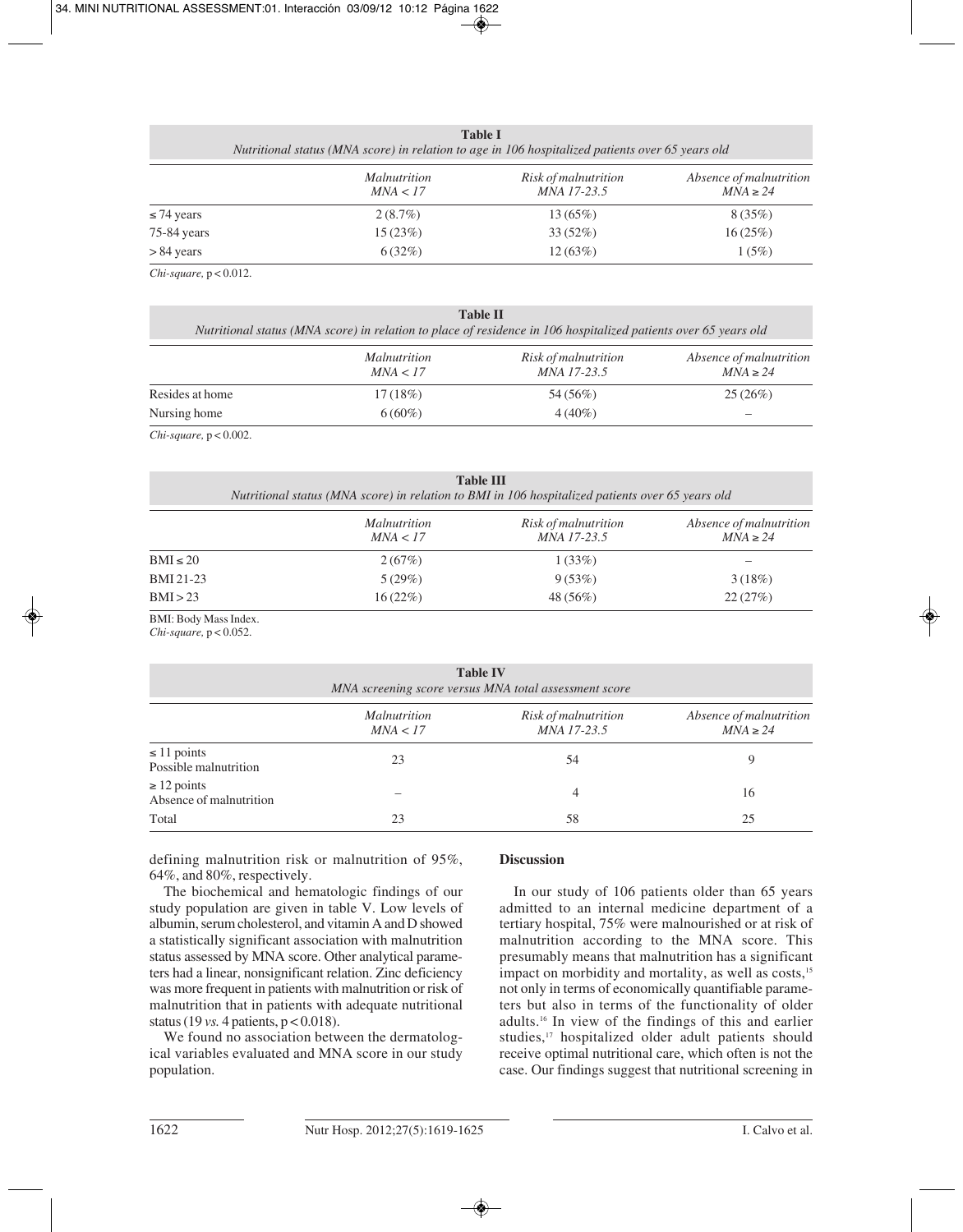| <b>Table I</b>                                                                                   |  |
|--------------------------------------------------------------------------------------------------|--|
| Nutritional status (MNA score) in relation to age in 106 hospitalized patients over 65 years old |  |
|                                                                                                  |  |

|                 | <i>Malnutrition</i><br>MNA < 17 | Risk of malnutrition<br><i>MNA 17-23.5</i> | Absence of malnutrition<br>$MNA \geq 24$ |
|-----------------|---------------------------------|--------------------------------------------|------------------------------------------|
| $\leq$ 74 years | 2(8.7%)                         | $13(65\%)$                                 | 8(35%)                                   |
| 75-84 years     | 15(23%)                         | $33(52\%)$                                 | 16(25%)                                  |
| > 84 years      | 6(32%)                          | 12(63%)                                    | 1(5%)                                    |

*Chi-square,* p < 0.012.

| <b>Table II</b><br>Nutritional status (MNA score) in relation to place of residence in 106 hospitalized patients over 65 years old |                                 |                                     |                                          |  |
|------------------------------------------------------------------------------------------------------------------------------------|---------------------------------|-------------------------------------|------------------------------------------|--|
|                                                                                                                                    | <i>Malnutrition</i><br>MNA < 17 | Risk of malnutrition<br>MNA 17-23.5 | Absence of malnutrition<br>$MNA \geq 24$ |  |
| Resides at home                                                                                                                    | 17(18%)                         | 54 (56%)                            | 25(26%)                                  |  |
| Nursing home                                                                                                                       | $6(60\%)$                       | $4(40\%)$                           |                                          |  |

*Chi-square,* p < 0.002.

| <b>Table III</b><br>Nutritional status (MNA score) in relation to BMI in 106 hospitalized patients over 65 years old |                                 |                                     |                                          |  |
|----------------------------------------------------------------------------------------------------------------------|---------------------------------|-------------------------------------|------------------------------------------|--|
|                                                                                                                      | <i>Malnutrition</i><br>MNA < 17 | Risk of malnutrition<br>MNA 17-23.5 | Absence of malnutrition<br>$MNA \geq 24$ |  |
| $BMI \leq 20$                                                                                                        | 2(67%)                          | 1(33%)                              |                                          |  |
| <b>BMI</b> 21-23                                                                                                     | 5(29%)                          | 9(53%)                              | 3(18%)                                   |  |
| BMI > 23                                                                                                             | 16(22%)                         | 48 (56%)                            | 22(27%)                                  |  |

BMI: Body Mass Index. *Chi-square,* p < 0.052.

| $C_{\ell}$ -square, $p < 0.032$ .                                        |                                 |                                            |                                          |  |
|--------------------------------------------------------------------------|---------------------------------|--------------------------------------------|------------------------------------------|--|
| <b>Table IV</b><br>MNA screening score versus MNA total assessment score |                                 |                                            |                                          |  |
|                                                                          | <i>Malnutrition</i><br>MNA < 17 | Risk of malnutrition<br><i>MNA 17-23.5</i> | Absence of malnutrition<br>$MNA \geq 24$ |  |
| $\leq$ 11 points<br>Possible malnutrition                                | 23                              | 54                                         | 9                                        |  |
| $\geq$ 12 points<br>Absence of malnutrition                              |                                 | 4                                          | 16                                       |  |
| Total                                                                    | 23                              | 58                                         | 25                                       |  |

defining malnutrition risk or malnutrition of 95%, 64%, and 80%, respectively.

The biochemical and hematologic findings of our study population are given in table V. Low levels of albumin, serum cholesterol, and vitamin A and D showed a statistically significant association with malnutrition status assessed by MNA score. Other analytical parameters had a linear, nonsignificant relation. Zinc deficiency was more frequent in patients with malnutrition or risk of malnutrition that in patients with adequate nutritional status (19 *vs.* 4 patients, p < 0.018).

We found no association between the dermatological variables evaluated and MNA score in our study population.

# **Discussion**

In our study of 106 patients older than 65 years admitted to an internal medicine department of a tertiary hospital, 75% were malnourished or at risk of malnutrition according to the MNA score. This presumably means that malnutrition has a significant impact on morbidity and mortality, as well as costs,<sup>15</sup> not only in terms of economically quantifiable parameters but also in terms of the functionality of older adults.16 In view of the findings of this and earlier studies,<sup>17</sup> hospitalized older adult patients should receive optimal nutritional care, which often is not the case. Our findings suggest that nutritional screening in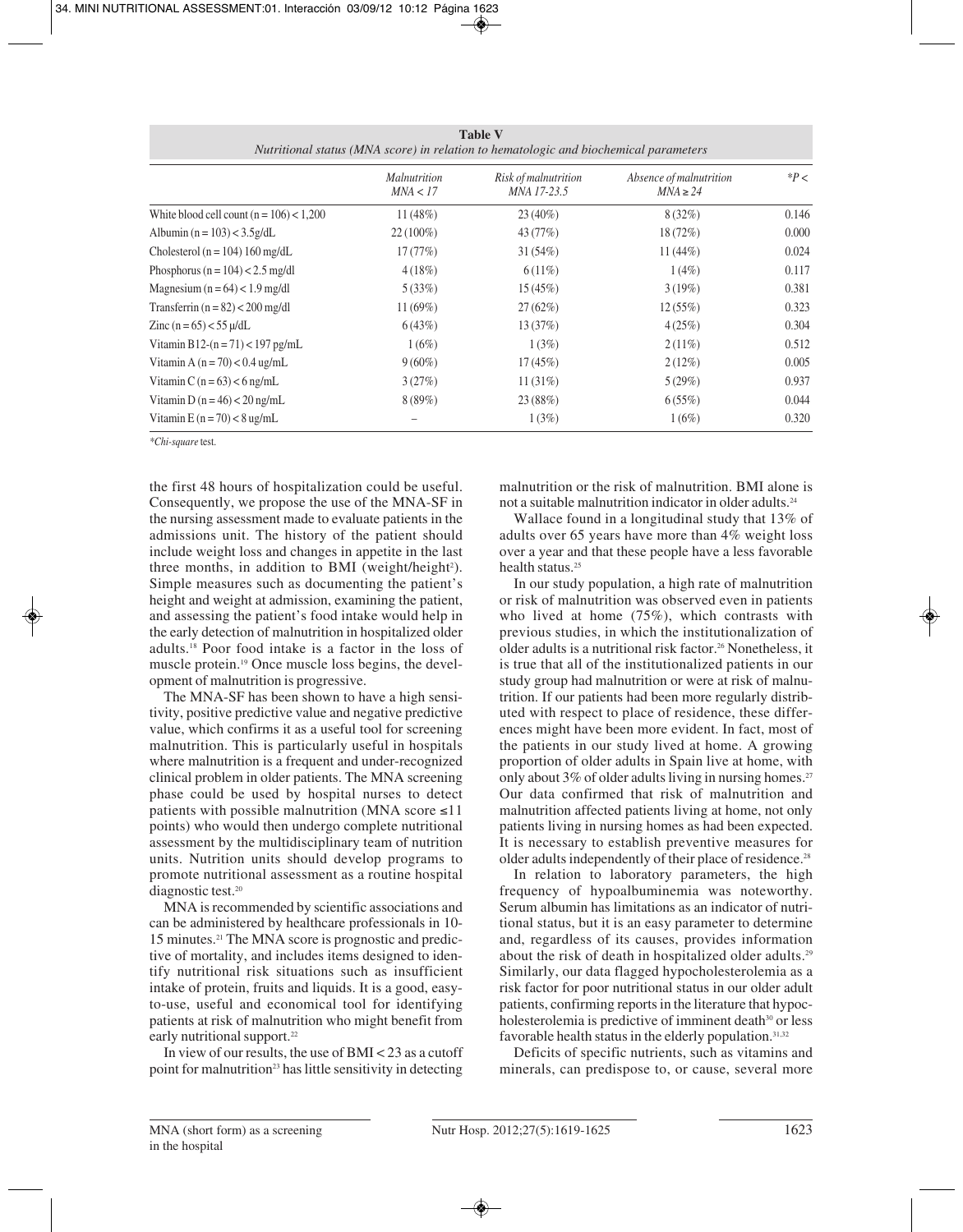| <b>Table V</b>                                                                       |  |
|--------------------------------------------------------------------------------------|--|
| Nutritional status (MNA score) in relation to hematologic and biochemical parameters |  |

|                                            | Malnutrition<br>MNA < 17 | Risk of malnutrition<br>MNA 17-23.5 | Absence of malnutrition<br>$MNA \geq 24$ | $*P <$ |
|--------------------------------------------|--------------------------|-------------------------------------|------------------------------------------|--------|
| White blood cell count $(n = 106) < 1,200$ | 11(48%)                  | $23(40\%)$                          | $8(32\%)$                                | 0.146  |
| Albumin $(n = 103) < 3.5g/dL$              | $22(100\%)$              | 43 (77%)                            | $18(72\%)$                               | 0.000  |
| Cholesterol ( $n = 104$ ) 160 mg/dL        | 17(77%)                  | 31(54%)                             | $11(44\%)$                               | 0.024  |
| Phosphorus ( $n = 104$ ) < 2.5 mg/dl       | 4(18%)                   | $6(11\%)$                           | $1(4\%)$                                 | 0.117  |
| Magnesium $(n = 64) < 1.9$ mg/dl           | 5(33%)                   | 15(45%)                             | 3(19%)                                   | 0.381  |
| Transferrin $(n = 82) < 200$ mg/dl         | $11(69\%)$               | 27(62%)                             | 12(55%)                                  | 0.323  |
| Zinc $(n = 65) < 55 \mu/dL$                | 6(43%)                   | 13(37%)                             | 4(25%)                                   | 0.304  |
| Vitamin B12- $(n = 71) < 197$ pg/mL        | $1(6\%)$                 | 1(3%)                               | $2(11\%)$                                | 0.512  |
| Vitamin A $(n = 70) < 0.4$ ug/mL           | $9(60\%)$                | $17(45\%)$                          | 2(12%)                                   | 0.005  |
| Vitamin C $(n = 63) < 6$ ng/mL             | 3(27%)                   | 11(31%)                             | 5(29%)                                   | 0.937  |
| Vitamin D $(n = 46) < 20$ ng/mL            | 8(89%)                   | 23 (88%)                            | 6(55%)                                   | 0.044  |
| Vitamin E $(n = 70) < 8$ ug/mL             |                          | 1(3%)                               | 1(6%)                                    | 0.320  |

*\*Chi-square* test.

the first 48 hours of hospitalization could be useful. Consequently, we propose the use of the MNA-SF in the nursing assessment made to evaluate patients in the admissions unit. The history of the patient should include weight loss and changes in appetite in the last three months, in addition to BMI (weight/height<sup>2</sup>). Simple measures such as documenting the patient's height and weight at admission, examining the patient, and assessing the patient's food intake would help in the early detection of malnutrition in hospitalized older adults.18 Poor food intake is a factor in the loss of muscle protein.19 Once muscle loss begins, the development of malnutrition is progressive.

The MNA-SF has been shown to have a high sensitivity, positive predictive value and negative predictive value, which confirms it as a useful tool for screening malnutrition. This is particularly useful in hospitals where malnutrition is a frequent and under-recognized clinical problem in older patients. The MNA screening phase could be used by hospital nurses to detect patients with possible malnutrition (MNA score ≤11 points) who would then undergo complete nutritional assessment by the multidisciplinary team of nutrition units. Nutrition units should develop programs to promote nutritional assessment as a routine hospital diagnostic test.20

MNA is recommended by scientific associations and can be administered by healthcare professionals in 10- 15 minutes.21 The MNA score is prognostic and predictive of mortality, and includes items designed to identify nutritional risk situations such as insufficient intake of protein, fruits and liquids. It is a good, easyto-use, useful and economical tool for identifying patients at risk of malnutrition who might benefit from early nutritional support.<sup>22</sup>

In view of our results, the use of BMI < 23 as a cutoff point for malnutrition<sup>23</sup> has little sensitivity in detecting

malnutrition or the risk of malnutrition. BMI alone is not a suitable malnutrition indicator in older adults.24

Wallace found in a longitudinal study that 13% of adults over 65 years have more than 4% weight loss over a year and that these people have a less favorable health status.<sup>25</sup>

In our study population, a high rate of malnutrition or risk of malnutrition was observed even in patients who lived at home (75%), which contrasts with previous studies, in which the institutionalization of older adults is a nutritional risk factor.26 Nonetheless, it is true that all of the institutionalized patients in our study group had malnutrition or were at risk of malnutrition. If our patients had been more regularly distributed with respect to place of residence, these differences might have been more evident. In fact, most of the patients in our study lived at home. A growing proportion of older adults in Spain live at home, with only about 3% of older adults living in nursing homes.<sup>27</sup> Our data confirmed that risk of malnutrition and malnutrition affected patients living at home, not only patients living in nursing homes as had been expected. It is necessary to establish preventive measures for older adults independently of their place of residence.28

In relation to laboratory parameters, the high frequency of hypoalbuminemia was noteworthy. Serum albumin has limitations as an indicator of nutritional status, but it is an easy parameter to determine and, regardless of its causes, provides information about the risk of death in hospitalized older adults.29 Similarly, our data flagged hypocholesterolemia as a risk factor for poor nutritional status in our older adult patients, confirming reports in the literature that hypocholesterolemia is predictive of imminent death<sup>30</sup> or less favorable health status in the elderly population.<sup>31,32</sup>

Deficits of specific nutrients, such as vitamins and minerals, can predispose to, or cause, several more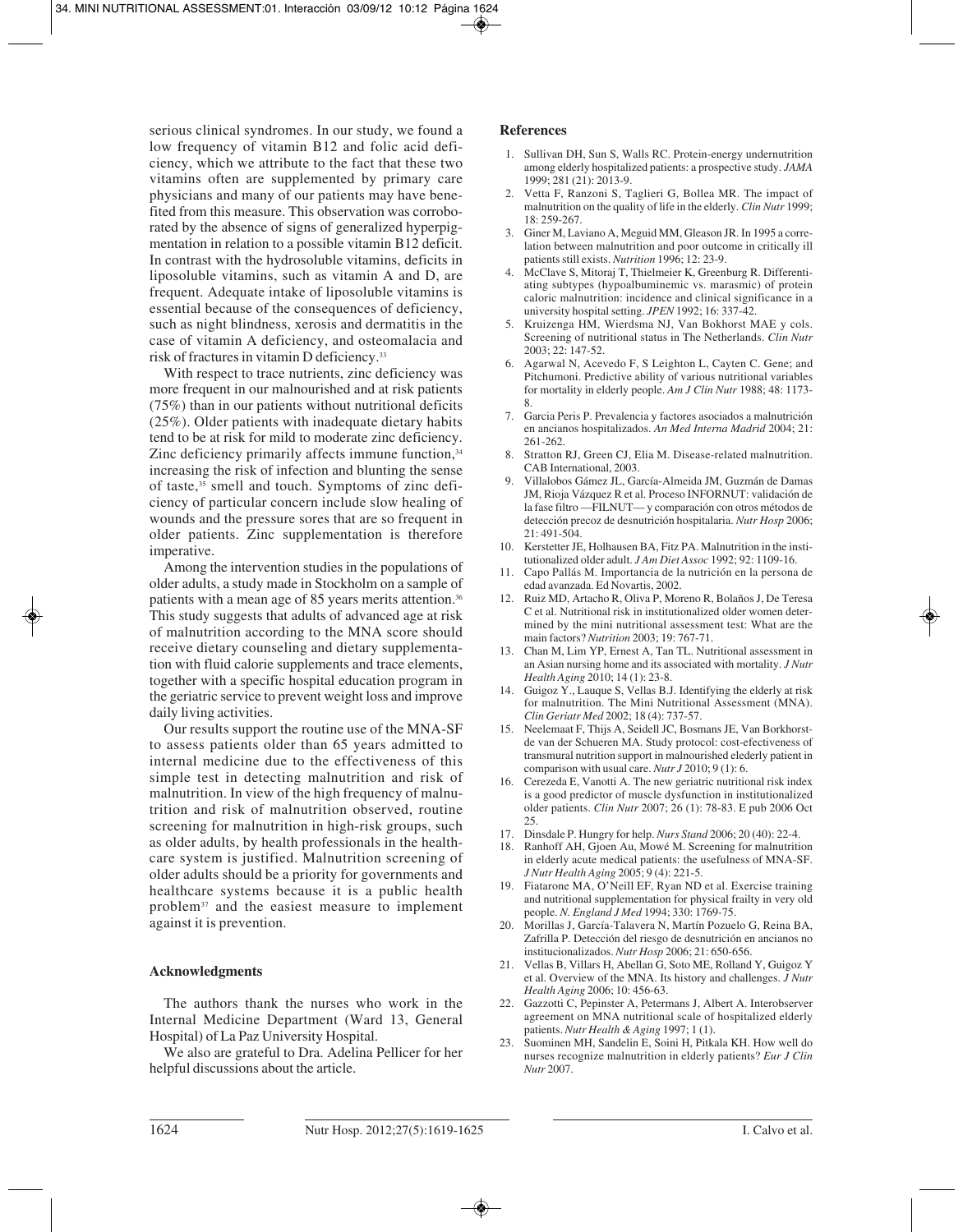serious clinical syndromes. In our study, we found a low frequency of vitamin B12 and folic acid deficiency, which we attribute to the fact that these two vitamins often are supplemented by primary care physicians and many of our patients may have benefited from this measure. This observation was corroborated by the absence of signs of generalized hyperpigmentation in relation to a possible vitamin B12 deficit. In contrast with the hydrosoluble vitamins, deficits in liposoluble vitamins, such as vitamin A and D, are frequent. Adequate intake of liposoluble vitamins is essential because of the consequences of deficiency, such as night blindness, xerosis and dermatitis in the case of vitamin A deficiency, and osteomalacia and risk of fractures in vitamin D deficiency.33

With respect to trace nutrients, zinc deficiency was more frequent in our malnourished and at risk patients (75%) than in our patients without nutritional deficits (25%). Older patients with inadequate dietary habits tend to be at risk for mild to moderate zinc deficiency. Zinc deficiency primarily affects immune function,<sup>34</sup> increasing the risk of infection and blunting the sense of taste,<sup>35</sup> smell and touch. Symptoms of zinc deficiency of particular concern include slow healing of wounds and the pressure sores that are so frequent in older patients. Zinc supplementation is therefore imperative.

Among the intervention studies in the populations of older adults, a study made in Stockholm on a sample of patients with a mean age of 85 years merits attention.<sup>36</sup> This study suggests that adults of advanced age at risk of malnutrition according to the MNA score should receive dietary counseling and dietary supplementation with fluid calorie supplements and trace elements, together with a specific hospital education program in the geriatric service to prevent weight loss and improve daily living activities.

Our results support the routine use of the MNA-SF to assess patients older than 65 years admitted to internal medicine due to the effectiveness of this simple test in detecting malnutrition and risk of malnutrition. In view of the high frequency of malnutrition and risk of malnutrition observed, routine screening for malnutrition in high-risk groups, such as older adults, by health professionals in the healthcare system is justified. Malnutrition screening of older adults should be a priority for governments and healthcare systems because it is a public health problem37 and the easiest measure to implement against it is prevention.

## **Acknowledgments**

The authors thank the nurses who work in the Internal Medicine Department (Ward 13, General Hospital) of La Paz University Hospital.

We also are grateful to Dra. Adelina Pellicer for her helpful discussions about the article.

### **References**

- 1. Sullivan DH, Sun S, Walls RC. Protein-energy undernutrition among elderly hospitalized patients: a prospective study. *JAMA* 1999; 281 (21): 2013-9.
- 2. Vetta F, Ranzoni S, Taglieri G, Bollea MR. The impact of malnutrition on the quality of life in the elderly. *Clin Nutr* 1999; 18: 259-267.
- 3. Giner M, Laviano A, Meguid MM, Gleason JR. In 1995 a correlation between malnutrition and poor outcome in critically ill patients still exists. *Nutrition* 1996; 12: 23-9.
- 4. McClave S, Mitoraj T, Thielmeier K, Greenburg R. Differentiating subtypes (hypoalbuminemic vs. marasmic) of protein caloric malnutrition: incidence and clinical significance in a university hospital setting. *JPEN* 1992; 16: 337-42.
- 5. Kruizenga HM, Wierdsma NJ, Van Bokhorst MAE y cols. Screening of nutritional status in The Netherlands. *Clin Nutr* 2003; 22: 147-52.
- 6. Agarwal N, Acevedo F, S Leighton L, Cayten C. Gene; and Pitchumoni. Predictive ability of various nutritional variables for mortality in elderly people. *Am J Clin Nutr* 1988; 48: 1173- 8.
- 7. Garcia Peris P. Prevalencia y factores asociados a malnutrición en ancianos hospitalizados. *An Med Interna Madrid* 2004; 21: 261-262.
- 8. Stratton RJ, Green CJ, Elia M. Disease-related malnutrition. CAB International, 2003.
- 9. Villalobos Gámez JL, García-Almeida JM, Guzmán de Damas JM, Rioja Vázquez R et al. Proceso INFORNUT: validación de la fase filtro —FILNUT— y comparación con otros métodos de detección precoz de desnutrición hospitalaria. *Nutr Hosp* 2006;  $21:491-504$ .
- 10. Kerstetter JE, Holhausen BA, Fitz PA. Malnutrition in the institutionalized older adult. *J Am Diet Assoc* 1992; 92: 1109-16.
- 11. Capo Pallás M. Importancia de la nutrición en la persona de edad avanzada. Ed Novartis, 2002.
- 12. Ruiz MD, Artacho R, Oliva P, Moreno R, Bolaños J, De Teresa C et al. Nutritional risk in institutionalized older women determined by the mini nutritional assessment test: What are the main factors? *Nutrition* 2003; 19: 767-71.
- 13. Chan M, Lim YP, Ernest A, Tan TL. Nutritional assessment in an Asian nursing home and its associated with mortality. *J Nutr Health Aging* 2010; 14 (1): 23-8.
- 14. Guigoz Y., Lauque S, Vellas B.J. Identifying the elderly at risk for malnutrition. The Mini Nutritional Assessment (MNA). *Clin Geriatr Med* 2002; 18 (4): 737-57.
- 15. Neelemaat F, Thijs A, Seidell JC, Bosmans JE, Van Borkhorstde van der Schueren MA. Study protocol: cost-efectiveness of transmural nutrition support in malnourished elederly patient in comparison with usual care. *Nutr J* 2010; 9 (1): 6.
- 16. Cerezeda E, Vanotti A. The new geriatric nutritional risk index is a good predictor of muscle dysfunction in institutionalized older patients. *Clin Nutr* 2007; 26 (1): 78-83. E pub 2006 Oct 25.
- 17. Dinsdale P. Hungry for help. *Nurs Stand* 2006; 20 (40): 22-4.
- 18. Ranhoff AH, Gjoen Au, Mowé M. Screening for malnutrition in elderly acute medical patients: the usefulness of MNA-SF. *J Nutr Health Aging* 2005; 9 (4): 221-5.
- 19. Fiatarone MA, O'Neill EF, Ryan ND et al. Exercise training and nutritional supplementation for physical frailty in very old people. *N. England J Med* 1994; 330: 1769-75.
- 20. Morillas J, García-Talavera N, Martín Pozuelo G, Reina BA, Zafrilla P. Detección del riesgo de desnutrición en ancianos no institucionalizados. *Nutr Hosp* 2006; 21: 650-656.
- 21. Vellas B, Villars H, Abellan G, Soto ME, Rolland Y, Guigoz Y et al. Overview of the MNA. Its history and challenges. *J Nutr Health Aging* 2006; 10: 456-63.
- 22. Gazzotti C, Pepinster A, Petermans J, Albert A. Interobserver agreement on MNA nutritional scale of hospitalized elderly patients. *Nutr Health & Aging* 1997; 1 (1).
- 23. Suominen MH, Sandelin E, Soini H, Pitkala KH. How well do nurses recognize malnutrition in elderly patients? *Eur J Clin Nutr* 2007.